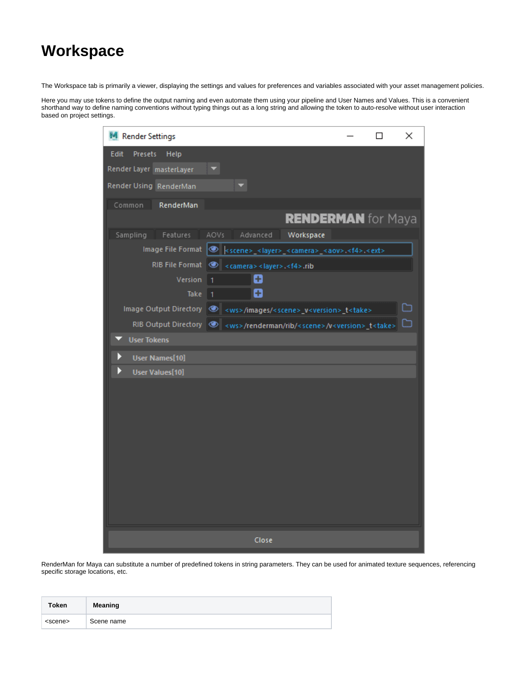## **Workspace**

The Workspace tab is primarily a viewer, displaying the settings and values for preferences and variables associated with your asset management policies.

Here you may use tokens to define the output naming and even automate them using your pipeline and User Names and Values. This is a convenient shorthand way to define naming conventions without typing things out as a long string and allowing the token to auto-resolve without user interaction based on project settings.

| Render Settings                                                                                             | □ | ×  |
|-------------------------------------------------------------------------------------------------------------|---|----|
| Edit<br><b>Presets</b><br>Help                                                                              |   |    |
| Render Layer masterLayer                                                                                    |   |    |
| Render Using RenderMan                                                                                      |   |    |
| Common<br>RenderMan                                                                                         |   |    |
| <b>RENDERMAN</b> for Maya                                                                                   |   |    |
| Sampling Features AOVs<br>Advanced Workspace                                                                |   |    |
| lmage File Format   e   <scene> <layer> <camera> <aov>.<f4>.<ext></ext></f4></aov></camera></layer></scene> |   |    |
| RIB File Format @ < camera> < layer>. <f4>.rib</f4>                                                         |   |    |
| O<br>Version 1                                                                                              |   |    |
| o<br>Take<br>1                                                                                              |   |    |
| Image Output Directory   8 <ws>/images/<scene>_v<version>_t<take></take></version></scene></ws>             |   |    |
| RIB Output Directory @ <ws>/renderman/rib/<scene>/v<version>_t<take></take></version></scene></ws>          |   | רו |
| <b>User Tokens</b>                                                                                          |   |    |
| <b>User Names[10]</b>                                                                                       |   |    |
| <b>User Values[10]</b>                                                                                      |   |    |
|                                                                                                             |   |    |
|                                                                                                             |   |    |
|                                                                                                             |   |    |
|                                                                                                             |   |    |
|                                                                                                             |   |    |
|                                                                                                             |   |    |
|                                                                                                             |   |    |
|                                                                                                             |   |    |
|                                                                                                             |   |    |
|                                                                                                             |   |    |
| Close                                                                                                       |   |    |

RenderMan for Maya can substitute a number of predefined tokens in string parameters. They can be used for animated texture sequences, referencing specific storage locations, etc.

| <b>Token</b>    | Meaning    |
|-----------------|------------|
| <scene></scene> | Scene name |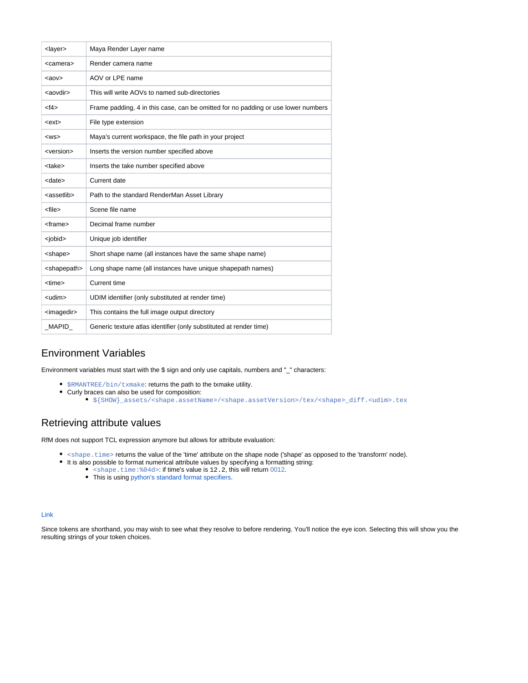| <layer></layer>         | Maya Render Layer name                                                            |
|-------------------------|-----------------------------------------------------------------------------------|
| <camera></camera>       | Render camera name                                                                |
| $<a$ ov $>$             | AOV or LPE name                                                                   |
| <aovdir></aovdir>       | This will write AOVs to named sub-directories                                     |
| $<$ f4>                 | Frame padding, 4 in this case, can be omitted for no padding or use lower numbers |
| <ext></ext>             | File type extension                                                               |
| $<$ WS $>$              | Maya's current workspace, the file path in your project                           |
| <version></version>     | Inserts the version number specified above                                        |
| <take></take>           | Inserts the take number specified above                                           |
| <date></date>           | Current date                                                                      |
| <assetlib></assetlib>   | Path to the standard RenderMan Asset Library                                      |
| <file></file>           | Scene file name                                                                   |
| <frame/>                | Decimal frame number                                                              |
| <jobid></jobid>         | Unique job identifier                                                             |
| <shape></shape>         | Short shape name (all instances have the same shape name)                         |
| <shapepath></shapepath> | Long shape name (all instances have unique shapepath names)                       |
| <time></time>           | Current time                                                                      |
| <udim></udim>           | UDIM identifier (only substituted at render time)                                 |
| <imagedir></imagedir>   | This contains the full image output directory                                     |
| MAPID                   | Generic texture atlas identifier (only substituted at render time)                |

## Environment Variables

Environment variables must start with the \$ sign and only use capitals, numbers and "\_" characters:

- \$RMANTREE/bin/txmake: returns the path to the txmake utility.
- Curly braces can also be used for composition:
	- \${SHOW}\_assets/<shape.assetName>/<shape.assetVersion>/tex/<shape>\_diff.<udim>.tex

## Retrieving attribute values

RfM does not support TCL expression anymore but allows for attribute evaluation:

- <shape.time> returns the value of the 'time' attribute on the shape node ('shape' as opposed to the 'transform' node).
- It is also possible to format numerical attribute values by specifying a formatting string:
	- shape.time: %04d>: if time's value is 12.2, this will return 0012.
		- This is using [python's standard format specifiers.](https://docs.python.org/2/library/stdtypes.html#string-formatting-operations)

## [Link](https://rmanwiki.pixar.com/display/RFM22/String+tokens+in+RfM)

Since tokens are shorthand, you may wish to see what they resolve to before rendering. You'll notice the eye icon. Selecting this will show you the resulting strings of your token choices.